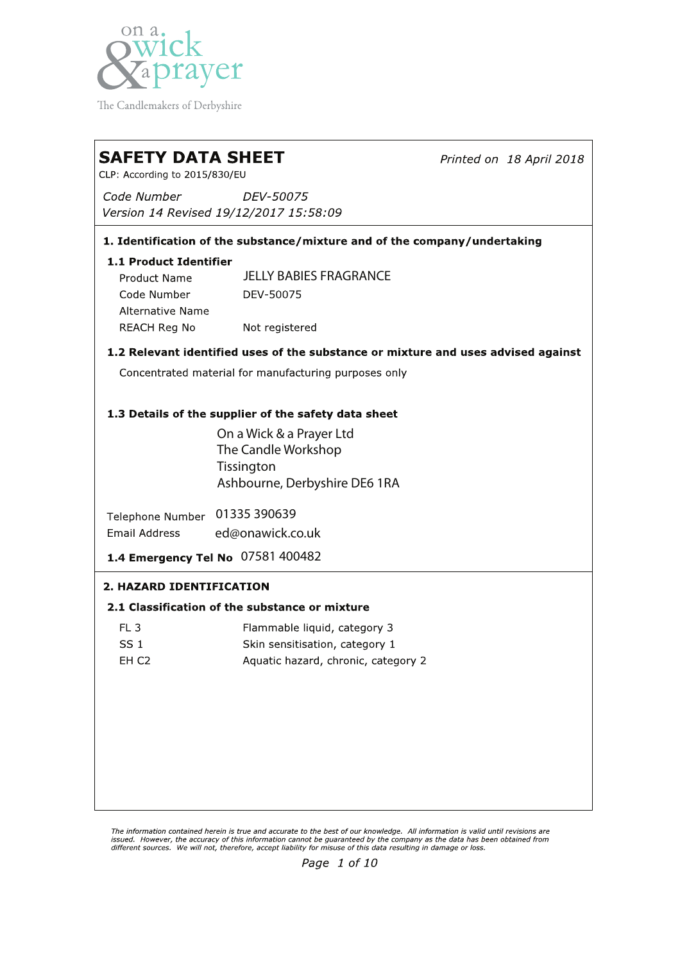

The Candlemakers of Derbyshire

## **SAFETY DATA SHEET** CLP: According to 2015/830/EU Code Number DEV-50075 Version 14 Revised 19/12/2017 15:58:09 1. Identification of the substance/mixture and of the company/undertaking 1.1 Product Identifier JELLY BABIES FRAGRANCE**Product Name** DEV-50075 Code Number **Alternative Name**

**REACH Reg No** Not registered

## 1.2 Relevant identified uses of the substance or mixture and uses advised against

Printed on 18 April 2018

Concentrated material for manufacturing purposes only

## 1.3 Details of the supplier of the safety data sheet

On a Wick & a Prayer Ltd The Candle Workshop **Tissington** Ashbourne, Derbyshire DE6 1RA

Telephone Number 01335 390639 Email Address ed@onawick.co.uk

1.4 Emergency Tel No 07581 400482

## 2. HAZARD IDENTIFICATION

## 2.1 Classification of the substance or mixture

| FL 3. | Flammable liquid, category 3        |
|-------|-------------------------------------|
| SS 1  | Skin sensitisation, category 1      |
| EH C2 | Aquatic hazard, chronic, category 2 |

The information contained herein is true and accurate to the best of our knowledge. All information is valid until revisions are issued. However, the accuracy of this information cannot be guaranteed by the company as the data has been obtained from<br>different sources. We will not, therefore, accept liability for misuse of this data resulting in dama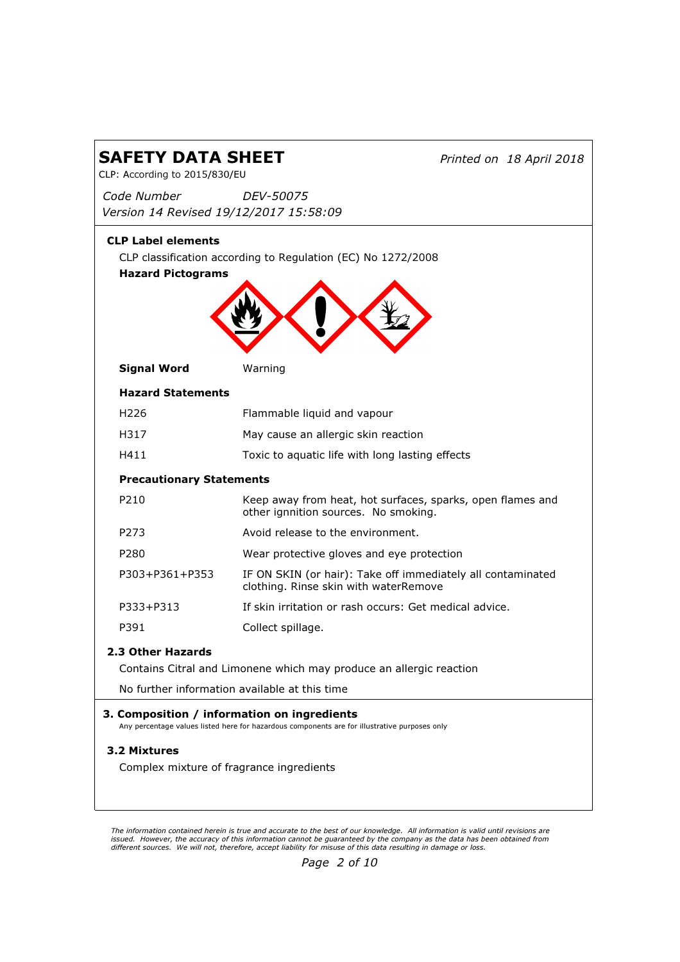| <b>SAFETY DATA SHEET</b><br>CLP: According to 2015/830/EU                                                                                    |                                                                                                      | Printed on 18 April 2018 |
|----------------------------------------------------------------------------------------------------------------------------------------------|------------------------------------------------------------------------------------------------------|--------------------------|
| Code Number                                                                                                                                  | <i>DEV-50075</i>                                                                                     |                          |
| Version 14 Revised 19/12/2017 15:58:09                                                                                                       |                                                                                                      |                          |
| <b>CLP Label elements</b><br><b>Hazard Pictograms</b>                                                                                        | CLP classification according to Regulation (EC) No 1272/2008                                         |                          |
| <b>Signal Word</b>                                                                                                                           | Warning                                                                                              |                          |
| <b>Hazard Statements</b>                                                                                                                     |                                                                                                      |                          |
| H <sub>226</sub>                                                                                                                             | Flammable liquid and vapour                                                                          |                          |
| H317                                                                                                                                         | May cause an allergic skin reaction                                                                  |                          |
| H411                                                                                                                                         | Toxic to aquatic life with long lasting effects                                                      |                          |
| <b>Precautionary Statements</b>                                                                                                              |                                                                                                      |                          |
| P <sub>210</sub>                                                                                                                             | Keep away from heat, hot surfaces, sparks, open flames and<br>other ignnition sources. No smoking.   |                          |
| P273                                                                                                                                         | Avoid release to the environment.                                                                    |                          |
| P <sub>280</sub>                                                                                                                             | Wear protective gloves and eye protection                                                            |                          |
| P303+P361+P353                                                                                                                               | IF ON SKIN (or hair): Take off immediately all contaminated<br>clothing. Rinse skin with waterRemove |                          |
| P333+P313                                                                                                                                    | If skin irritation or rash occurs: Get medical advice.                                               |                          |
| P391                                                                                                                                         | Collect spillage.                                                                                    |                          |
| 2.3 Other Hazards<br>Contains Citral and Limonene which may produce an allergic reaction                                                     |                                                                                                      |                          |
| No further information available at this time                                                                                                |                                                                                                      |                          |
| 3. Composition / information on ingredients<br>Any percentage values listed here for hazardous components are for illustrative purposes only |                                                                                                      |                          |
| 3.2 Mixtures                                                                                                                                 |                                                                                                      |                          |
| Complex mixture of fragrance ingredients                                                                                                     |                                                                                                      |                          |
|                                                                                                                                              |                                                                                                      |                          |

The information contained herein is true and accurate to the best of our knowledge. All information is valid until revisions are<br>issued. However, the accuracy of this information cannot be guaranteed by the company as th

 $\overline{\mathsf{L}}$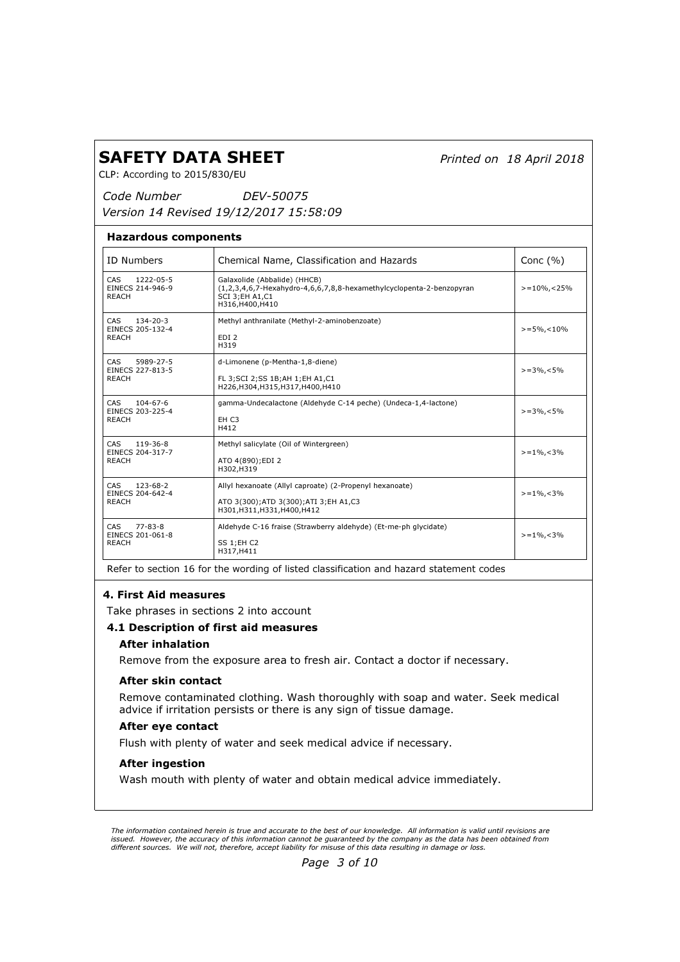Printed on 18 April 2018

CLP: According to 2015/830/EU

Code Number Version 14 Revised 19/12/2017 15:58:09 DEV-50075

#### Hazardous components

| <b>ID Numbers</b>                                                | Chemical Name, Classification and Hazards                                                                                                              | Conc $(% )$        |
|------------------------------------------------------------------|--------------------------------------------------------------------------------------------------------------------------------------------------------|--------------------|
| CAS<br>1222-05-5<br>EINECS 214-946-9<br><b>REACH</b>             | Galaxolide (Abbalide) (HHCB)<br>$(1,2,3,4,6,7$ -Hexahydro-4,6,6,7,8,8-hexamethylcyclopenta-2-benzopyran<br><b>SCI 3; EH A1, C1</b><br>H316, H400, H410 | $> = 10\%$ , < 25% |
| CAS<br>$134 - 20 - 3$<br>EINECS 205-132-4<br><b>REACH</b>        | Methyl anthranilate (Methyl-2-aminobenzoate)<br>EDI <sub>2</sub><br>H319                                                                               | $>= 5\%$ , < 10%   |
| CAS<br>5989-27-5<br>EINECS 227-813-5<br><b>REACH</b>             | d-Limonene (p-Mentha-1,8-diene)<br>FL 3; SCI 2; SS 1B; AH 1; EH A1, C1<br>H226, H304, H315, H317, H400, H410                                           | $>=3\%$ , <5%      |
| CAS<br>$104 - 67 - 6$<br>EINECS 203-225-4<br><b>REACH</b>        | gamma-Undecalactone (Aldehyde C-14 peche) (Undeca-1,4-lactone)<br>EH <sub>C3</sub><br>H412                                                             | $>=3\%$ , < 5%     |
| CAS<br>119-36-8<br>EINECS 204-317-7<br><b>REACH</b>              | Methyl salicylate (Oil of Wintergreen)<br>ATO 4(890); EDI 2<br>H302, H319                                                                              | $>=1\%,-3\%$       |
| <b>CAS</b><br>$123 - 68 - 2$<br>EINECS 204-642-4<br><b>REACH</b> | Allyl hexanoate (Allyl caproate) (2-Propenyl hexanoate)<br>ATO 3(300); ATD 3(300); ATI 3; EH A1, C3<br>H301, H311, H331, H400, H412                    | $>=1\%$ , < 3\%    |
| <b>CAS</b><br>$77 - 83 - 8$<br>EINECS 201-061-8<br><b>REACH</b>  | Aldehyde C-16 fraise (Strawberry aldehyde) (Et-me-ph glycidate)<br>SS 1;EH C2<br>H317, H411                                                            | $>=1\%$ , < 3%     |

Refer to section 16 for the wording of listed classification and hazard statement codes

## 4. First Aid measures

Take phrases in sections 2 into account

### 4.1 Description of first aid measures

### After inhalation

Remove from the exposure area to fresh air. Contact a doctor if necessary.

### After skin contact

Remove contaminated clothing. Wash thoroughly with soap and water. Seek medical advice if irritation persists or there is any sign of tissue damage.

### After eye contact

Flush with plenty of water and seek medical advice if necessary.

### After ingestion

Wash mouth with plenty of water and obtain medical advice immediately.

The information contained herein is true and accurate to the best of our knowledge. All information is valid until revisions are issued. However, the accuracy of this information cannot be guaranteed by the company as the data has been obtained from<br>different sources. We will not, therefore, accept liability for misuse of this data resulting in da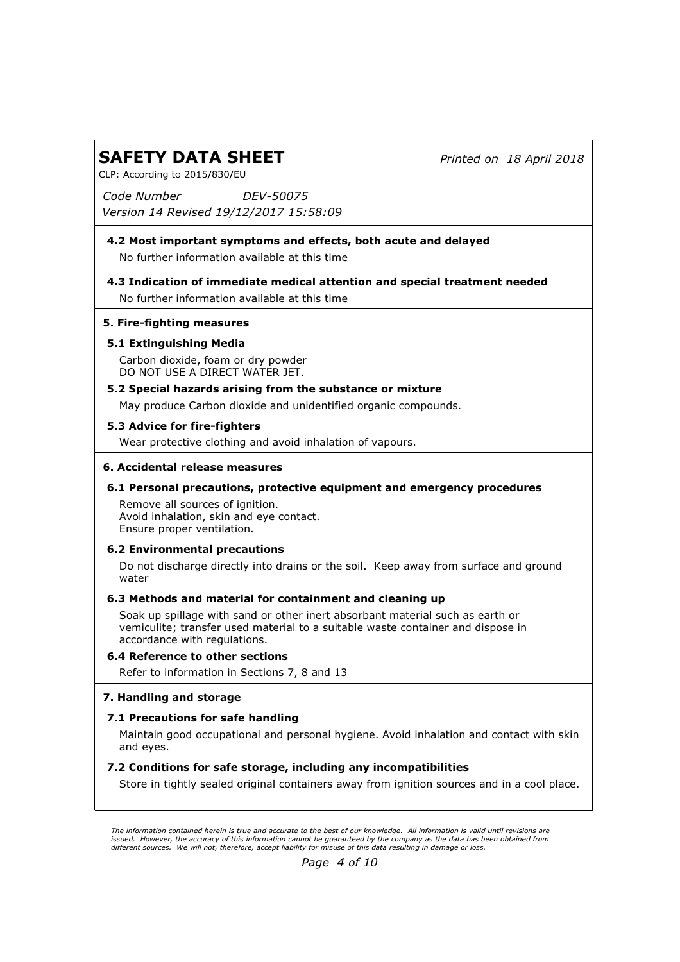Printed on 18 April 2018

CLP: According to 2015/830/EU

Code Number Version 14 Revised 19/12/2017 15:58:09 DEV-50075

## No further information available at this time 4.2 Most important symptoms and effects, both acute and delayed

No further information available at this time 4.3 Indication of immediate medical attention and special treatment needed

# 5. Fire-fighting measures

# 5.1 Extinguishing Media

Carbon dioxide, foam or dry powder DO NOT USE A DIRECT WATER JET.

## 5.2 Special hazards arising from the substance or mixture

May produce Carbon dioxide and unidentified organic compounds.

## 5.3 Advice for fire-fighters

Wear protective clothing and avoid inhalation of vapours.

## 6. Accidental release measures

# 6.1 Personal precautions, protective equipment and emergency procedures

Remove all sources of ignition. Avoid inhalation, skin and eye contact. Ensure proper ventilation.

## 6.2 Environmental precautions

Do not discharge directly into drains or the soil. Keep away from surface and ground water

## 6.3 Methods and material for containment and cleaning up

Soak up spillage with sand or other inert absorbant material such as earth or vemiculite; transfer used material to a suitable waste container and dispose in accordance with regulations.

## 6.4 Reference to other sections

Refer to information in Sections 7, 8 and 13

## 7. Handling and storage

## 7.1 Precautions for safe handling

Maintain good occupational and personal hygiene. Avoid inhalation and contact with skin and eyes.

## 7.2 Conditions for safe storage, including any incompatibilities

Store in tightly sealed original containers away from ignition sources and in a cool place.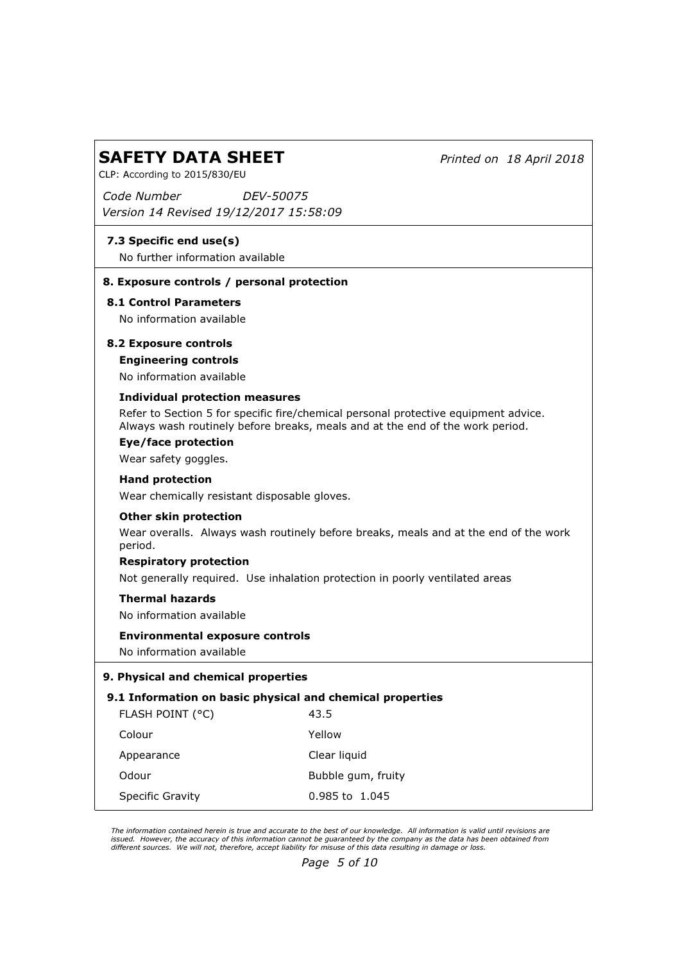Printed on 18 April 2018

CLP: According to 2015/830/EU

Code Number Version 14 Revised 19/12/2017 15:58:09 DEV-50075

# 7.3 Specific end use(s)

No further information available

## 8. Exposure controls / personal protection

# 8.1 Control Parameters

No information available

# 8.2 Exposure controls

## Engineering controls

No information available

## Individual protection measures

Refer to Section 5 for specific fire/chemical personal protective equipment advice. Always wash routinely before breaks, meals and at the end of the work period.

Eye/face protection Wear safety goggles.

### Hand protection

Wear chemically resistant disposable gloves.

### Other skin protection

Wear overalls. Always wash routinely before breaks, meals and at the end of the work period.

### Respiratory protection

Not generally required. Use inhalation protection in poorly ventilated areas

## Thermal hazards

No information available

### Environmental exposure controls

No information available

## 9. Physical and chemical properties

### 9.1 Information on basic physical and chemical properties

| FLASH POINT (°C) | 43.5               |
|------------------|--------------------|
| Colour           | Yellow             |
| Appearance       | Clear liquid       |
| Odour            | Bubble gum, fruity |
| Specific Gravity | 0.985 to 1.045     |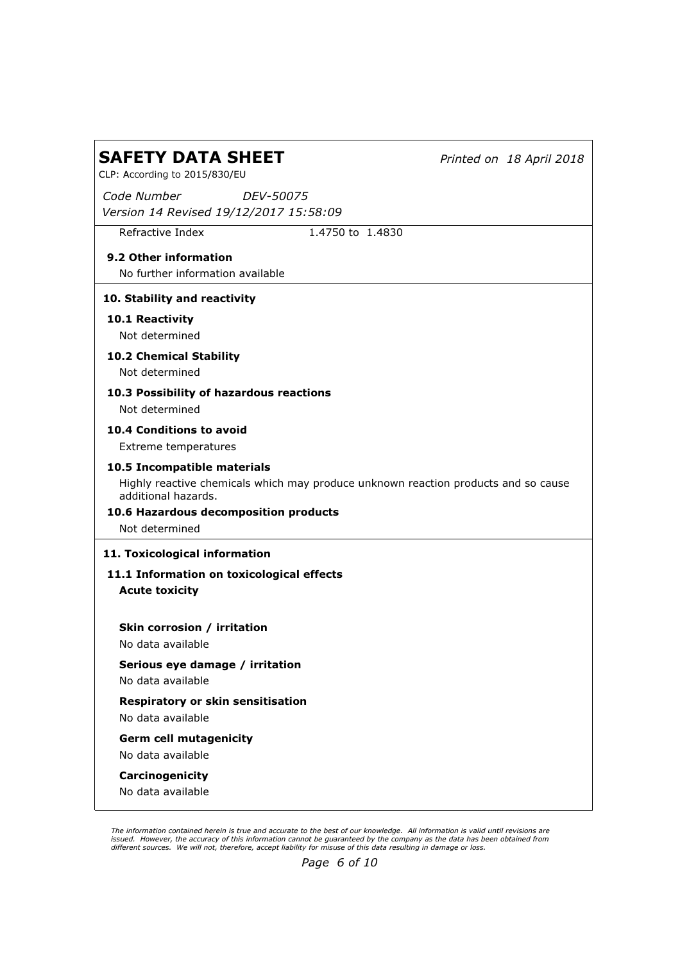Printed on 18 April 2018

CLP: According to 2015/830/EU

Code Number Version 14 Revised 19/12/2017 15:58:09 DEV-50075

Refractive Index 1.4750 to 1.4830

# 9.2 Other information

No further information available

## 10. Stability and reactivity

10.1 Reactivity

Not determined

10.2 Chemical Stability

Not determined

# 10.3 Possibility of hazardous reactions

Not determined

## 10.4 Conditions to avoid

Extreme temperatures

## 10.5 Incompatible materials

Highly reactive chemicals which may produce unknown reaction products and so cause additional hazards.

## 10.6 Hazardous decomposition products

Not determined

## 11. Toxicological information

# Acute toxicity 11.1 Information on toxicological effects

## Skin corrosion / irritation

No data available

# Serious eye damage / irritation

No data available

# Respiratory or skin sensitisation

No data available

## Germ cell mutagenicity

No data available

### Carcinogenicity

No data available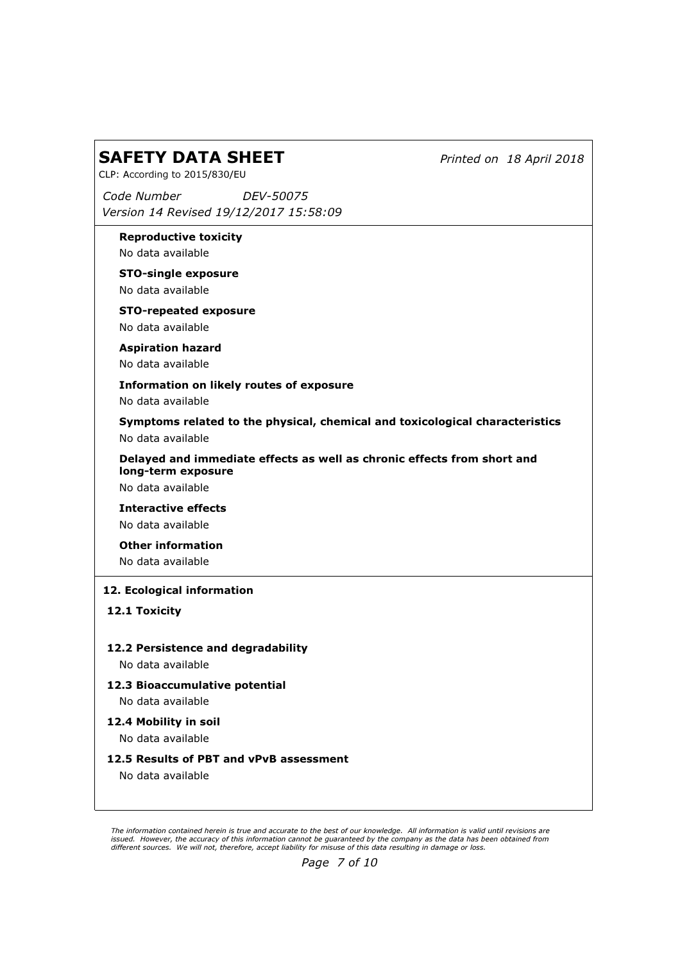Printed on 18 April 2018

CLP: According to 2015/830/EU

Code Number Version 14 Revised 19/12/2017 15:58:09 DEV-50075

Reproductive toxicity

No data available

STO-single exposure

No data available

STO-repeated exposure

No data available

Aspiration hazard

No data available

Information on likely routes of exposure

No data available

Symptoms related to the physical, chemical and toxicological characteristics No data available

Delayed and immediate effects as well as chronic effects from short and long-term exposure

No data available

Interactive effects No data available

Other information

No data available

## 12. Ecological information

12.1 Toxicity

### 12.2 Persistence and degradability

No data available

- 12.3 Bioaccumulative potential No data available
- 12.4 Mobility in soil

No data available

12.5 Results of PBT and vPvB assessment

No data available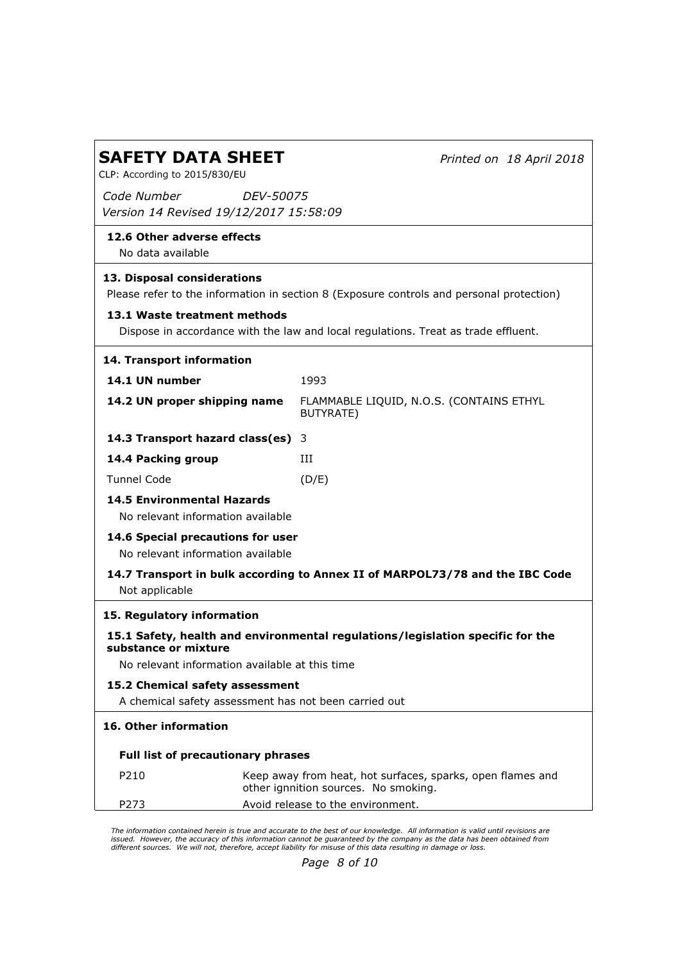| <b>SAFETY DATA SHEET</b>                                                                                                |                                      | Printed on 18 April 2018                                   |  |
|-------------------------------------------------------------------------------------------------------------------------|--------------------------------------|------------------------------------------------------------|--|
| CLP: According to 2015/830/EU                                                                                           |                                      |                                                            |  |
| Code Number<br>Version 14 Revised 19/12/2017 15:58:09                                                                   | <i>DEV-50075</i>                     |                                                            |  |
| 12.6 Other adverse effects<br>No data available                                                                         |                                      |                                                            |  |
| 13. Disposal considerations<br>Please refer to the information in section 8 (Exposure controls and personal protection) |                                      |                                                            |  |
| 13.1 Waste treatment methods<br>Dispose in accordance with the law and local regulations. Treat as trade effluent.      |                                      |                                                            |  |
| 14. Transport information                                                                                               |                                      |                                                            |  |
| 14.1 UN number                                                                                                          | 1993                                 |                                                            |  |
| 14.2 UN proper shipping name                                                                                            | BUTYRATE)                            | FLAMMABLE LIQUID, N.O.S. (CONTAINS ETHYL                   |  |
| 14.3 Transport hazard class(es) 3                                                                                       |                                      |                                                            |  |
| 14.4 Packing group                                                                                                      | Ш                                    |                                                            |  |
| <b>Tunnel Code</b>                                                                                                      | (D/E)                                |                                                            |  |
| <b>14.5 Environmental Hazards</b><br>No relevant information available                                                  |                                      |                                                            |  |
| 14.6 Special precautions for user<br>No relevant information available                                                  |                                      |                                                            |  |
| 14.7 Transport in bulk according to Annex II of MARPOL73/78 and the IBC Code<br>Not applicable                          |                                      |                                                            |  |
| 15. Regulatory information                                                                                              |                                      |                                                            |  |
| 15.1 Safety, health and environmental regulations/legislation specific for the<br>substance or mixture                  |                                      |                                                            |  |
| No relevant information available at this time                                                                          |                                      |                                                            |  |
| 15.2 Chemical safety assessment<br>A chemical safety assessment has not been carried out                                |                                      |                                                            |  |
| 16. Other information                                                                                                   |                                      |                                                            |  |
| <b>Full list of precautionary phrases</b>                                                                               |                                      |                                                            |  |
| P210                                                                                                                    | other ignnition sources. No smoking. | Keep away from heat, hot surfaces, sparks, open flames and |  |
| P273                                                                                                                    | Avoid release to the environment.    |                                                            |  |

The information contained herein is true and accurate to the best of our knowledge. All information is valid until revisions are<br>issued. However, the accuracy of this information cannot be guaranteed by the company as th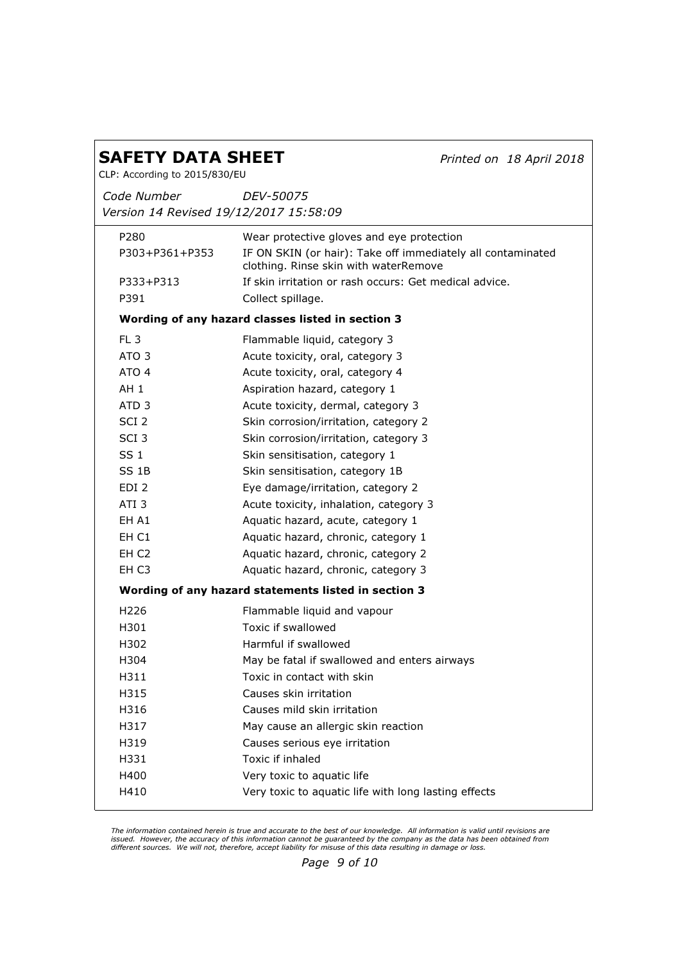Printed on 18 April 2018

CLP: According to 2015/830/EU

Code Number Version 14 Revised 19/12/2017 15:58:09 DEV-50075

| P280              | Wear protective gloves and eye protection                                                            |
|-------------------|------------------------------------------------------------------------------------------------------|
| P303+P361+P353    | IF ON SKIN (or hair): Take off immediately all contaminated<br>clothing. Rinse skin with waterRemove |
| P333+P313         | If skin irritation or rash occurs: Get medical advice.                                               |
| P391              | Collect spillage.                                                                                    |
|                   | Wording of any hazard classes listed in section 3                                                    |
| FL <sub>3</sub>   | Flammable liquid, category 3                                                                         |
| ATO <sub>3</sub>  | Acute toxicity, oral, category 3                                                                     |
| ATO 4             | Acute toxicity, oral, category 4                                                                     |
| AH <sub>1</sub>   | Aspiration hazard, category 1                                                                        |
| ATD <sub>3</sub>  | Acute toxicity, dermal, category 3                                                                   |
| SCI 2             | Skin corrosion/irritation, category 2                                                                |
| SCI <sub>3</sub>  | Skin corrosion/irritation, category 3                                                                |
| SS <sub>1</sub>   | Skin sensitisation, category 1                                                                       |
| SS <sub>1B</sub>  | Skin sensitisation, category 1B                                                                      |
| EDI <sub>2</sub>  | Eye damage/irritation, category 2                                                                    |
| ATI <sub>3</sub>  | Acute toxicity, inhalation, category 3                                                               |
| EH A1             | Aquatic hazard, acute, category 1                                                                    |
| EH C1             | Aquatic hazard, chronic, category 1                                                                  |
| EH <sub>C2</sub>  | Aquatic hazard, chronic, category 2                                                                  |
| EH C <sub>3</sub> | Aquatic hazard, chronic, category 3                                                                  |
|                   | Wording of any hazard statements listed in section 3                                                 |
| H <sub>226</sub>  | Flammable liquid and vapour                                                                          |
| H301              | Toxic if swallowed                                                                                   |
| H302              | Harmful if swallowed                                                                                 |
| H304              | May be fatal if swallowed and enters airways                                                         |
| H311              | Toxic in contact with skin                                                                           |
| H315              | Causes skin irritation                                                                               |
| H316              | Causes mild skin irritation                                                                          |
| H317              | May cause an allergic skin reaction                                                                  |
| H319              | Causes serious eye irritation                                                                        |
| H331              | Toxic if inhaled                                                                                     |
| H400              | Very toxic to aquatic life                                                                           |
| H410              | Very toxic to aquatic life with long lasting effects                                                 |
|                   |                                                                                                      |

The information contained herein is true and accurate to the best of our knowledge. All information is valid until revisions are<br>issued. However, the accuracy of this information cannot be guaranteed by the company as th